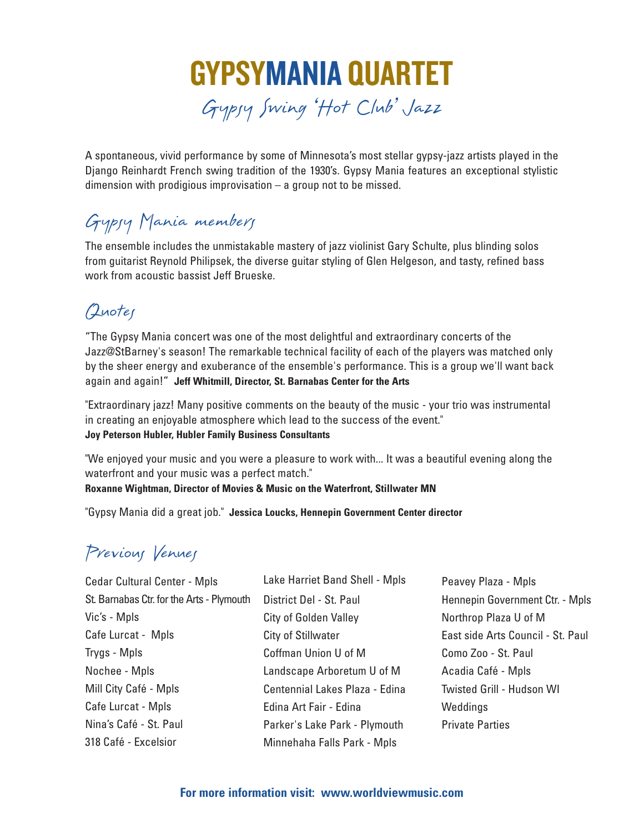

A spontaneous, vivid performance by some of Minnesota's most stellar gypsy-jazz artists played in the Django Reinhardt French swing tradition of the 1930's. Gypsy Mania features an exceptional stylistic dimension with prodigious improvisation – a group not to be missed.

# Gypsy Mania members

The ensemble includes the unmistakable mastery of jazz violinist Gary Schulte, plus blinding solos from guitarist Reynold Philipsek, the diverse guitar styling of Glen Helgeson, and tasty, refined bass work from acoustic bassist Jeff Brueske.

# Quotes

"The Gypsy Mania concert was one of the most delightful and extraordinary concerts of the Jazz@StBarney's season! The remarkable technical facility of each of the players was matched only by the sheer energy and exuberance of the ensemble's performance. This is a group we'll want back again and again!" **Jeff Whitmill, Director, St. Barnabas Center for the Arts**

"Extraordinary jazz! Many positive comments on the beauty of the music - your trio was instrumental in creating an enjoyable atmosphere which lead to the success of the event." **Joy Peterson Hubler, Hubler Family Business Consultants**

"We enjoyed your music and you were a pleasure to work with... It was a beautiful evening along the waterfront and your music was a perfect match."

#### **Roxanne Wightman, Director of Movies & Music on the Waterfront, Stillwater MN**

"Gypsy Mania did a great job." **Jessica Loucks, Hennepin Government Center director**

# Previous Venues

| <b>Cedar Cultural Center - Mpls</b>       | Lake Harriet Band Shell - Mpls | Peavey Plaza - Mpls               |
|-------------------------------------------|--------------------------------|-----------------------------------|
| St. Barnabas Ctr. for the Arts - Plymouth | District Del - St. Paul        | Hennepin Government Ctr. - Mpls   |
| Vic's - Mpls                              | <b>City of Golden Valley</b>   | Northrop Plaza U of M             |
| Cafe Lurcat - Mpls                        | City of Stillwater             | East side Arts Council - St. Paul |
| Trygs - Mpls                              | Coffman Union U of M           | Como Zoo - St. Paul               |
| Nochee - Mpls                             | Landscape Arboretum U of M     | Acadia Café - Mpls                |
| Mill City Café - Mpls                     | Centennial Lakes Plaza - Edina | <b>Twisted Grill - Hudson WI</b>  |
| Cafe Lurcat - Mpls                        | Edina Art Fair - Edina         | Weddings                          |
| Nina's Café - St. Paul                    | Parker's Lake Park - Plymouth  | <b>Private Parties</b>            |
| 318 Café - Excelsior                      | Minnehaha Falls Park - Mpls    |                                   |

#### **For more information visit: www.worldviewmusic.com**